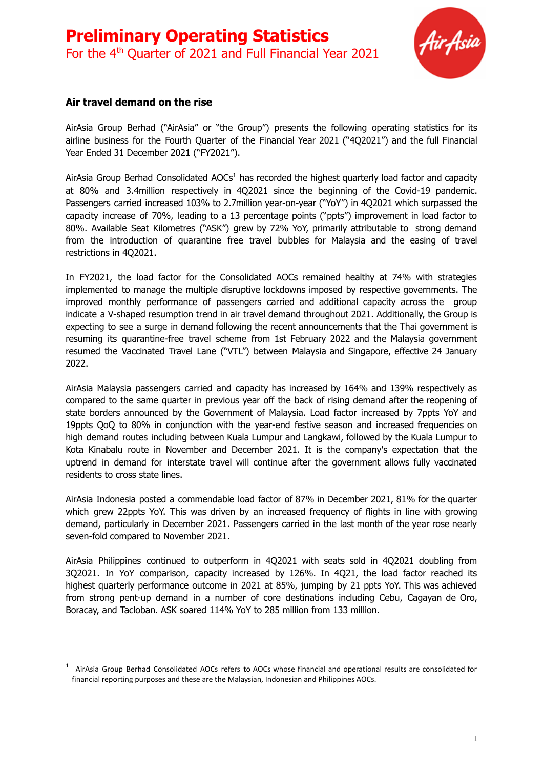

#### **Air travel demand on the rise**

AirAsia Group Berhad ("AirAsia" or "the Group") presents the following operating statistics for its airline business for the Fourth Quarter of the Financial Year 2021 ("4Q2021") and the full Financial Year Ended 31 December 2021 ("FY2021").

AirAsia Group Berhad Consolidated AOCs<sup>1</sup> has recorded the highest quarterly load factor and capacity at 80% and 3.4million respectively in 4Q2021 since the beginning of the Covid-19 pandemic. Passengers carried increased 103% to 2.7million year-on-year ("YoY") in 4Q2021 which surpassed the capacity increase of 70%, leading to a 13 percentage points ("ppts") improvement in load factor to 80%. Available Seat Kilometres ("ASK") grew by 72% YoY, primarily attributable to strong demand from the introduction of quarantine free travel bubbles for Malaysia and the easing of travel restrictions in 4Q2021.

In FY2021, the load factor for the Consolidated AOCs remained healthy at 74% with strategies implemented to manage the multiple disruptive lockdowns imposed by respective governments. The improved monthly performance of passengers carried and additional capacity across the group indicate a V-shaped resumption trend in air travel demand throughout 2021. Additionally, the Group is expecting to see a surge in demand following the recent announcements that the Thai government is resuming its quarantine-free travel scheme from 1st February 2022 and the Malaysia government resumed the Vaccinated Travel Lane ("VTL") between Malaysia and Singapore, effective 24 January 2022.

AirAsia Malaysia passengers carried and capacity has increased by 164% and 139% respectively as compared to the same quarter in previous year off the back of rising demand after the reopening of state borders announced by the Government of Malaysia. Load factor increased by 7ppts YoY and 19ppts QoQ to 80% in conjunction with the year-end festive season and increased frequencies on high demand routes including between Kuala Lumpur and Langkawi, followed by the Kuala Lumpur to Kota Kinabalu route in November and December 2021. It is the company's expectation that the uptrend in demand for interstate travel will continue after the government allows fully vaccinated residents to cross state lines.

AirAsia Indonesia posted a commendable load factor of 87% in December 2021, 81% for the quarter which grew 22ppts YoY. This was driven by an increased frequency of flights in line with growing demand, particularly in December 2021. Passengers carried in the last month of the year rose nearly seven-fold compared to November 2021.

AirAsia Philippines continued to outperform in 4Q2021 with seats sold in 4Q2021 doubling from 3Q2021. In YoY comparison, capacity increased by 126%. In 4Q21, the load factor reached its highest quarterly performance outcome in 2021 at 85%, jumping by 21 ppts YoY. This was achieved from strong pent-up demand in a number of core destinations including Cebu, Cagayan de Oro, Boracay, and Tacloban. ASK soared 114% YoY to 285 million from 133 million.

 $1$  AirAsia Group Berhad Consolidated AOCs refers to AOCs whose financial and operational results are consolidated for financial reporting purposes and these are the Malaysian, Indonesian and Philippines AOCs.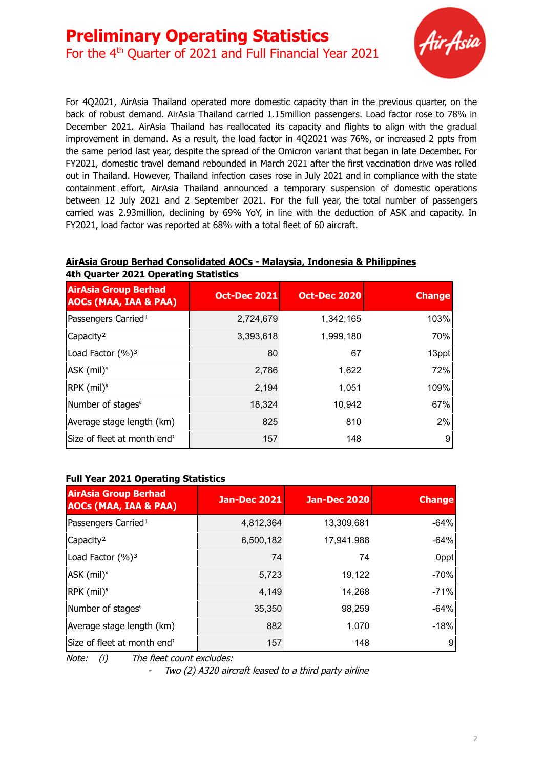

For 4Q2021, AirAsia Thailand operated more domestic capacity than in the previous quarter, on the back of robust demand. AirAsia Thailand carried 1.15million passengers. Load factor rose to 78% in December 2021. AirAsia Thailand has reallocated its capacity and flights to align with the gradual improvement in demand. As a result, the load factor in 4Q2021 was 76%, or increased 2 ppts from the same period last year, despite the spread of the Omicron variant that began in late December. For FY2021, domestic travel demand rebounded in March 2021 after the first vaccination drive was rolled out in Thailand. However, Thailand infection cases rose in July 2021 and in compliance with the state containment effort, AirAsia Thailand announced a temporary suspension of domestic operations between 12 July 2021 and 2 September 2021. For the full year, the total number of passengers carried was 2.93million, declining by 69% YoY, in line with the deduction of ASK and capacity. In FY2021, load factor was reported at 68% with a total fleet of 60 aircraft.

#### **AirAsia Group Berhad Consolidated AOCs - Malaysia, Indonesia & Philippines 4th Quarter 2021 Operating Statistics**

| <b>AirAsia Group Berhad</b><br><b>AOCs (MAA, IAA &amp; PAA)</b> | <b>Oct-Dec 2021</b> | <b>Oct-Dec 2020</b> | <b>Change</b> |
|-----------------------------------------------------------------|---------------------|---------------------|---------------|
| Passengers Carried <sup>1</sup>                                 | 2,724,679           | 1,342,165           | 103%          |
| Capacity <sup>2</sup>                                           | 3,393,618           | 1,999,180           | 70%           |
| Load Factor (%) <sup>3</sup>                                    | 80                  | 67                  | 13ppt         |
| ASK (mil) <sup>4</sup>                                          | 2,786               | 1,622               | 72%           |
| RPK (mil) <sup>5</sup>                                          | 2,194               | 1,051               | 109%          |
| Number of stages <sup>6</sup>                                   | 18,324              | 10,942              | 67%           |
| Average stage length (km)                                       | 825                 | 810                 | 2%            |
| Size of fleet at month end <sup>7</sup>                         | 157                 | 148                 | 9             |

### **Full Year 2021 Operating Statistics**

| <b>AirAsia Group Berhad</b><br><b>AOCs (MAA, IAA &amp; PAA)</b> | <b>Jan-Dec 2021</b> | <b>Jan-Dec 2020</b> | <b>Change</b> |
|-----------------------------------------------------------------|---------------------|---------------------|---------------|
| Passengers Carried <sup>1</sup>                                 | 4,812,364           | 13,309,681          | $-64%$        |
| Capacity <sup>2</sup>                                           | 6,500,182           | 17,941,988          | $-64%$        |
| Load Factor (%) <sup>3</sup>                                    | 74                  | 74                  | 0ppt          |
| ASK (mil) <sup>4</sup>                                          | 5,723               | 19,122              | $-70%$        |
| RPK (mil) <sup>5</sup>                                          | 4,149               | 14,268              | $-71%$        |
| Number of stages <sup>6</sup>                                   | 35,350              | 98,259              | $-64%$        |
| Average stage length (km)                                       | 882                 | 1,070               | $-18%$        |
| Size of fleet at month end <sup>7</sup>                         | 157                 | 148                 | 9             |

Note: (i) The fleet count excludes:

-Two (2) A320 aircraft leased to <sup>a</sup> third party airline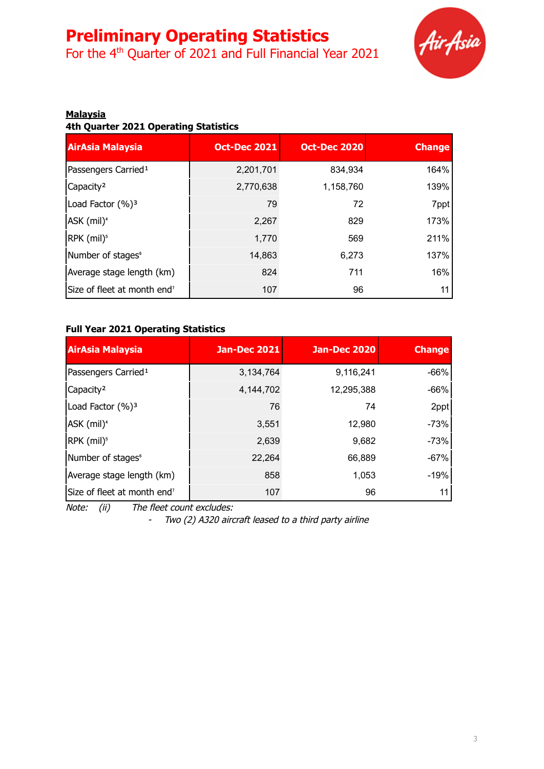For the 4<sup>th</sup> Quarter of 2021 and Full Financial Year 2021



### **Malaysia**

**4th Quarter 2021 Operating Statistics**

| AirAsia Malaysia                        | <b>Oct-Dec 2021</b> | <b>Oct-Dec 2020</b> | <b>Change</b> |
|-----------------------------------------|---------------------|---------------------|---------------|
| Passengers Carried <sup>1</sup>         | 2,201,701           | 834,934             | 164%          |
| Capacity <sup>2</sup>                   | 2,770,638           | 1,158,760           | 139%          |
| Load Factor (%) <sup>3</sup>            | 79                  | 72                  | 7ppt          |
| ASK (mil) <sup>4</sup>                  | 2,267               | 829                 | 173%          |
| RPK (mil) <sup>5</sup>                  | 1,770               | 569                 | 211%          |
| Number of stages <sup>®</sup>           | 14,863              | 6,273               | 137%          |
| Average stage length (km)               | 824                 | 711                 | 16%           |
| Size of fleet at month end <sup>7</sup> | 107                 | 96                  | 11            |

#### **Full Year 2021 Operating Statistics**

| <b>AirAsia Malaysia</b>                 | <b>Jan-Dec 2021</b> | <b>Jan-Dec 2020</b> | <b>Change</b> |
|-----------------------------------------|---------------------|---------------------|---------------|
| Passengers Carried <sup>1</sup>         | 3,134,764           | 9,116,241           | $-66%$        |
| Capacity <sup>2</sup>                   | 4,144,702           | 12,295,388          | $-66%$        |
| Load Factor (%) <sup>3</sup>            | 76                  | 74                  | 2ppt          |
| ASK (mil) <sup>4</sup>                  | 3,551               | 12,980              | $-73%$        |
| RPK (mil) <sup>5</sup>                  | 2,639               | 9,682               | $-73%$        |
| Number of stages <sup>®</sup>           | 22,264              | 66,889              | $-67%$        |
| Average stage length (km)               | 858                 | 1,053               | $-19%$        |
| Size of fleet at month end <sup>7</sup> | 107                 | 96                  | 11            |

Note: (ii) The fleet count excludes:

- Two (2) A320 aircraft leased to <sup>a</sup> third party airline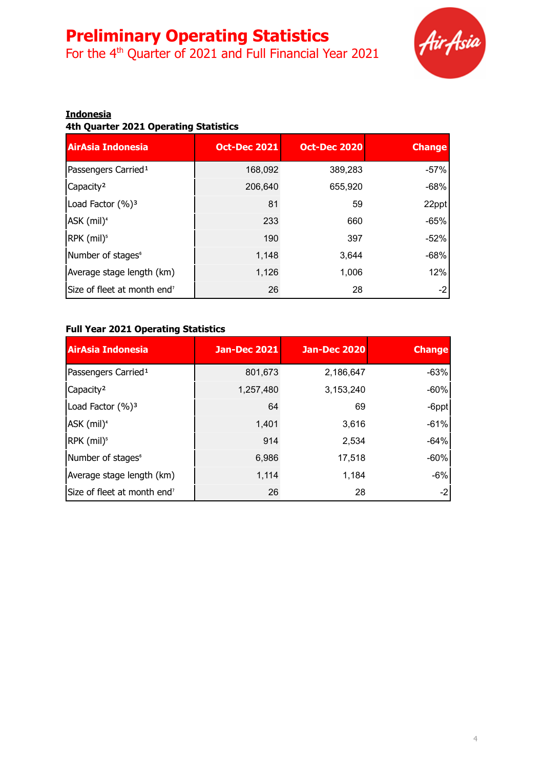For the 4<sup>th</sup> Quarter of 2021 and Full Financial Year 2021



#### **Indonesia**

### **4th Quarter 2021 Operating Statistics**

| <b>AirAsia Indonesia</b>                | <b>Oct-Dec 2021</b> | <b>Oct-Dec 2020</b> | <b>Change</b> |
|-----------------------------------------|---------------------|---------------------|---------------|
| Passengers Carried <sup>1</sup>         | 168,092             | 389,283             | $-57%$        |
| Capacity <sup>2</sup>                   | 206.640             | 655,920             | $-68%$        |
| Load Factor (%) <sup>3</sup>            | 81                  | 59                  | 22ppt         |
| ASK (mil) <sup>4</sup>                  | 233                 | 660                 | $-65%$        |
| RPK (mil) <sup>5</sup>                  | 190                 | 397                 | $-52%$        |
| Number of stages <sup>6</sup>           | 1,148               | 3,644               | $-68%$        |
| Average stage length (km)               | 1,126               | 1,006               | 12%           |
| Size of fleet at month end <sup>7</sup> | 26                  | 28                  | -2            |

#### **Full Year 2021 Operating Statistics**

| <b>AirAsia Indonesia</b>                | Jan-Dec 2021 | <b>Jan-Dec 2020</b> | <b>Change</b> |
|-----------------------------------------|--------------|---------------------|---------------|
| Passengers Carried <sup>1</sup>         | 801,673      | 2,186,647           | $-63%$        |
| Capacity <sup>2</sup>                   | 1,257,480    | 3,153,240           | $-60%$        |
| Load Factor (%) <sup>3</sup>            | 64           | 69                  | -6ppt         |
| ASK (mil) <sup>4</sup>                  | 1,401        | 3,616               | $-61%$        |
| RPK (mil) <sup>5</sup>                  | 914          | 2,534               | $-64%$        |
| Number of stages <sup>6</sup>           | 6,986        | 17,518              | $-60%$        |
| Average stage length (km)               | 1,114        | 1,184               | $-6%$         |
| Size of fleet at month end <sup>7</sup> | 26           | 28                  | -2            |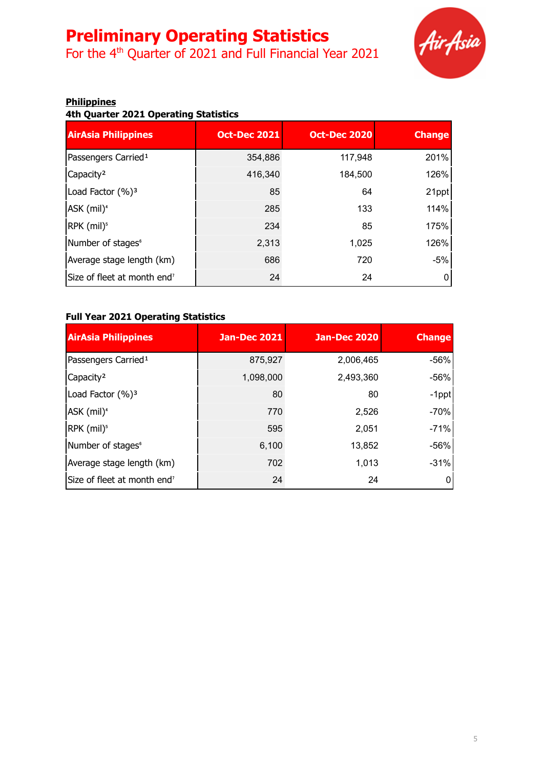For the 4<sup>th</sup> Quarter of 2021 and Full Financial Year 2021



#### **Philippines**

**4th Quarter 2021 Operating Statistics**

| <b>AirAsia Philippines</b>              | <b>Oct-Dec 2021</b> | <b>Oct-Dec 2020</b> | <b>Change</b> |
|-----------------------------------------|---------------------|---------------------|---------------|
| Passengers Carried <sup>1</sup>         | 354,886             | 117,948             | 201%          |
| Capacity <sup>2</sup>                   | 416,340             | 184,500             | 126%          |
| Load Factor (%) <sup>3</sup>            | 85                  | 64                  | 21ppt         |
| ASK (mil) <sup>4</sup>                  | 285                 | 133                 | 114%          |
| RPK (mil) <sup>5</sup>                  | 234                 | 85                  | 175%          |
| Number of stages <sup>6</sup>           | 2,313               | 1,025               | 126%          |
| Average stage length (km)               | 686                 | 720                 | $-5%$         |
| Size of fleet at month end <sup>7</sup> | 24                  | 24                  |               |

### **Full Year 2021 Operating Statistics**

| <b>AirAsia Philippines</b>              | <b>Jan-Dec 2021</b> | Jan-Dec 2020 | <b>Change</b> |
|-----------------------------------------|---------------------|--------------|---------------|
| Passengers Carried <sup>1</sup>         | 875,927             | 2,006,465    | -56%          |
| Capacity <sup>2</sup>                   | 1,098,000           | 2,493,360    | -56%          |
| Load Factor (%) <sup>3</sup>            | 80                  | 80           | -1ppt         |
| ASK (mil) <sup>4</sup>                  | 770                 | 2,526        | $-70%$        |
| RPK (mil) <sup>5</sup>                  | 595                 | 2,051        | $-71%$        |
| Number of stages <sup>®</sup>           | 6,100               | 13,852       | -56%          |
| Average stage length (km)               | 702                 | 1,013        | $-31%$        |
| Size of fleet at month end <sup>7</sup> | 24                  | 24           | 0             |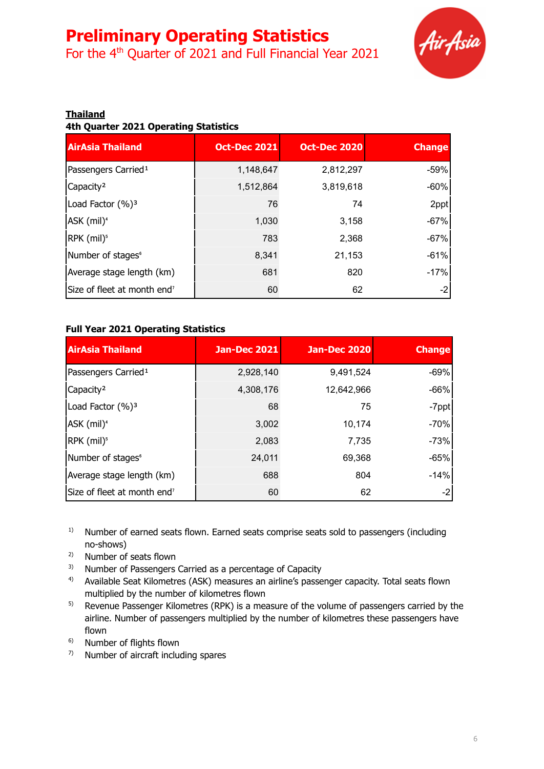For the 4<sup>th</sup> Quarter of 2021 and Full Financial Year 2021



### **Thailand**

**4th Quarter 2021 Operating Statistics**

| <b>AirAsia Thailand</b>                 | <b>Oct-Dec 2021</b> | <b>Oct-Dec 2020</b> | <b>Change</b> |
|-----------------------------------------|---------------------|---------------------|---------------|
| Passengers Carried <sup>1</sup>         | 1,148,647           | 2,812,297           | $-59%$        |
| Capacity <sup>2</sup>                   | 1,512,864           | 3,819,618           | $-60%$        |
| Load Factor (%) <sup>3</sup>            | 76                  | 74                  | 2ppt          |
| ASK (mil) <sup>4</sup>                  | 1,030               | 3,158               | $-67%$        |
| RPK (mil) <sup>5</sup>                  | 783                 | 2,368               | $-67%$        |
| Number of stages <sup>6</sup>           | 8,341               | 21,153              | $-61%$        |
| Average stage length (km)               | 681                 | 820                 | $-17%$        |
| Size of fleet at month end <sup>7</sup> | 60                  | 62                  | -2            |

#### **Full Year 2021 Operating Statistics**

| <b>AirAsia Thailand</b>                 | <b>Jan-Dec 2021</b> | <b>Jan-Dec 2020</b> | <b>Change</b> |
|-----------------------------------------|---------------------|---------------------|---------------|
| Passengers Carried <sup>1</sup>         | 2,928,140           | 9,491,524           | $-69%$        |
| Capacity <sup>2</sup>                   | 4,308,176           | 12,642,966          | $-66%$        |
| Load Factor (%) <sup>3</sup>            | 68                  | 75                  | -7ppt         |
| ASK (mil) <sup>4</sup>                  | 3,002               | 10,174              | $-70%$        |
| RPK (mil) <sup>5</sup>                  | 2,083               | 7,735               | $-73%$        |
| Number of stages <sup>6</sup>           | 24,011              | 69,368              | $-65%$        |
| Average stage length (km)               | 688                 | 804                 | $-14%$        |
| Size of fleet at month end <sup>7</sup> | 60                  | 62                  | -2            |

- $1)$  Number of earned seats flown. Earned seats comprise seats sold to passengers (including no-shows)
- 2) Number of seats flown
- <sup>3)</sup> Number of Passengers Carried as a percentage of Capacity
- <sup>4)</sup> Available Seat Kilometres (ASK) measures an airline's passenger capacity. Total seats flown multiplied by the number of kilometres flown
- $5)$  Revenue Passenger Kilometres (RPK) is a measure of the volume of passengers carried by the airline. Number of passengers multiplied by the number of kilometres these passengers have flown
- 6) Number of flights flown
- $7$  Number of aircraft including spares